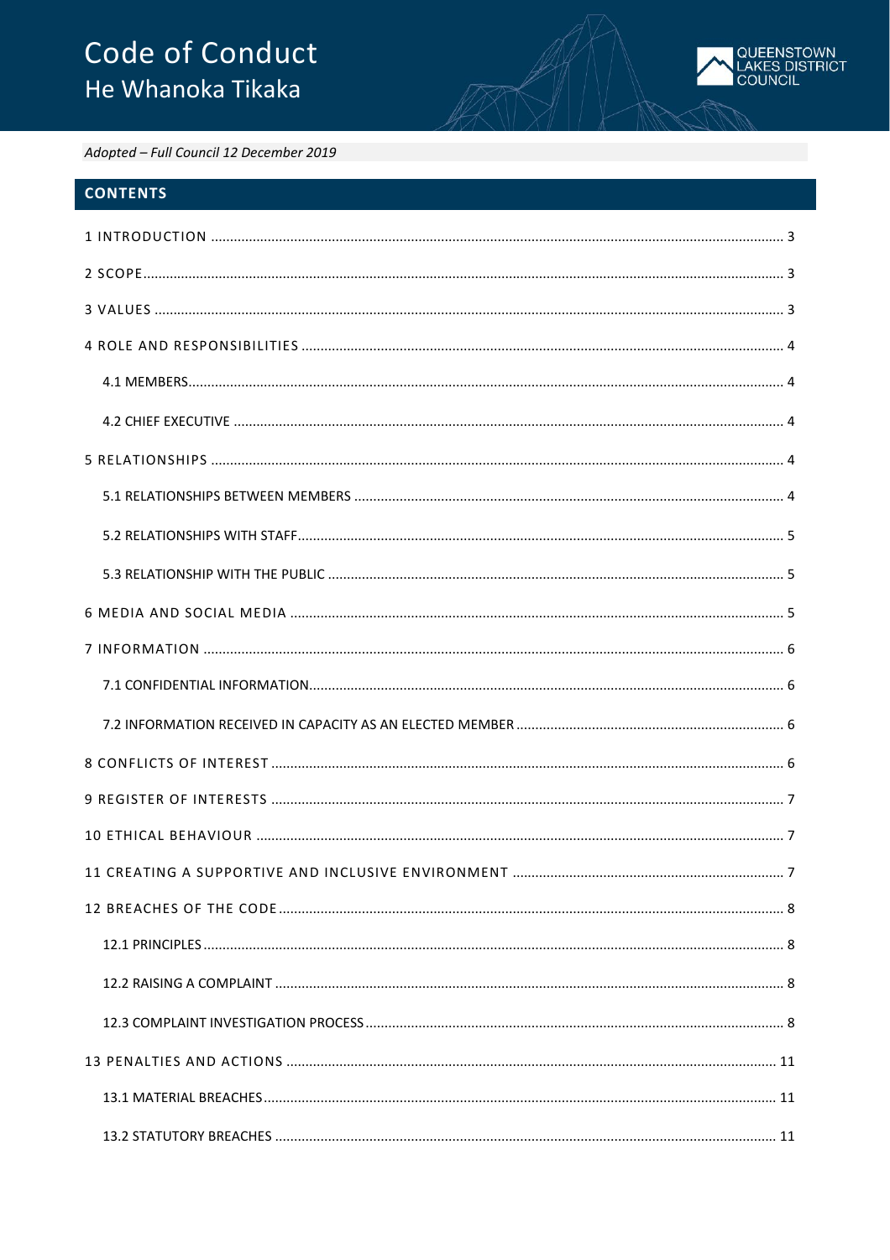# Code of Conduct He Whanoka Tikaka



Adopted - Full Council 12 December 2019

# **CONTENTS**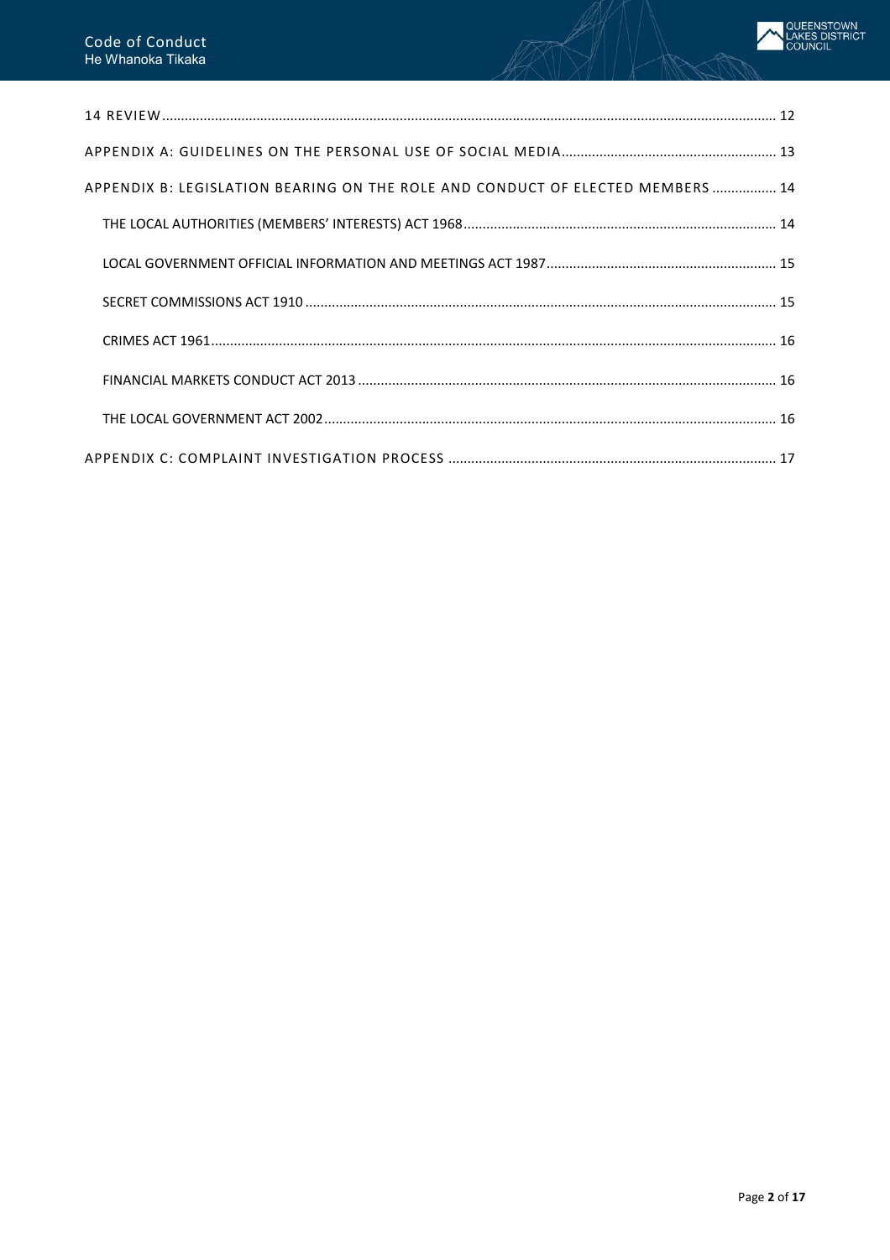| APPENDIX B: LEGISLATION BEARING ON THE ROLE AND CONDUCT OF ELECTED MEMBERS  14 |
|--------------------------------------------------------------------------------|
|                                                                                |
|                                                                                |
|                                                                                |
|                                                                                |
|                                                                                |
|                                                                                |
|                                                                                |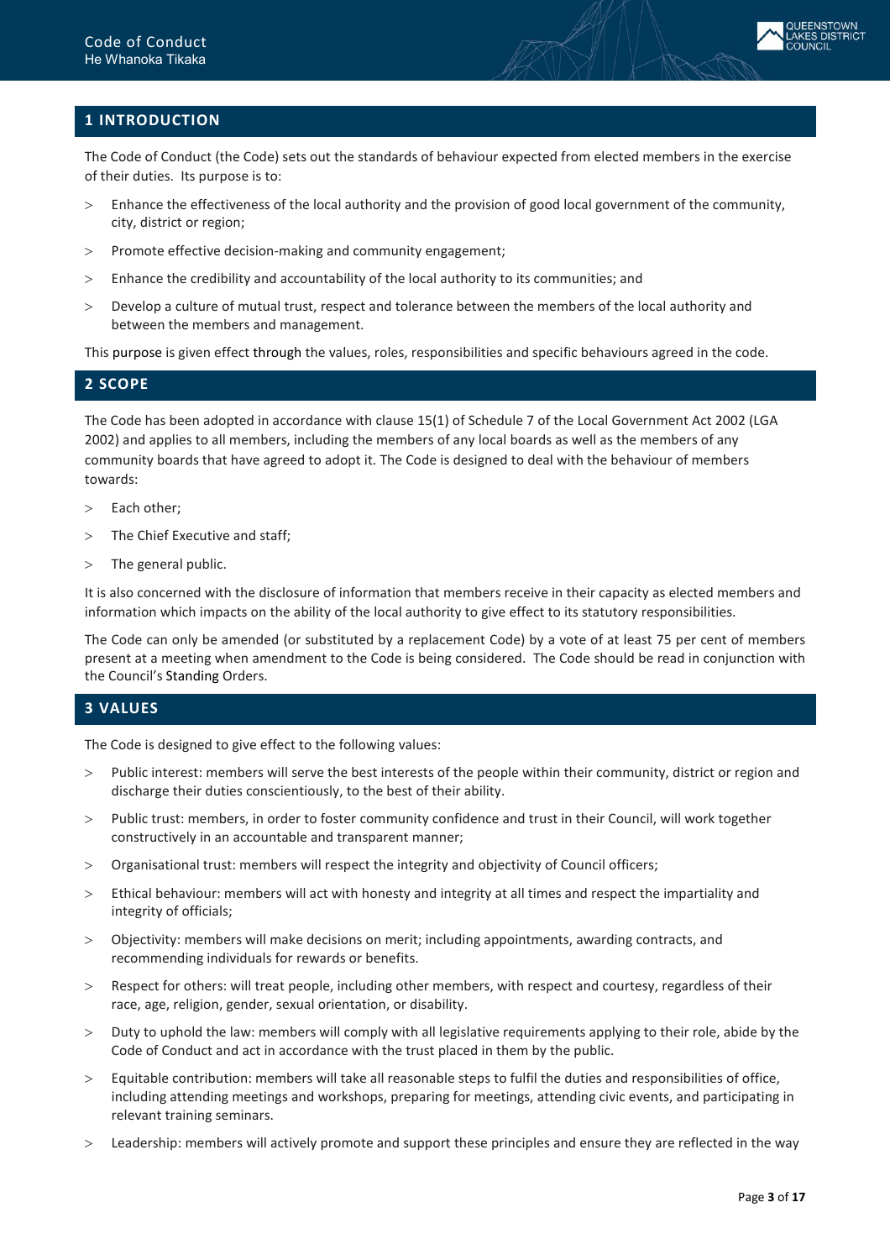

# <span id="page-2-0"></span>**1 INTRODUCTION**

The Code of Conduct (the Code) sets out the standards of behaviour expected from elected members in the exercise of their duties. Its purpose is to:

- > Enhance the effectiveness of the local authority and the provision of good local government of the community, city, district or region;
- > Promote effective decision-making and community engagement;
- > Enhance the credibility and accountability of the local authority to its communities; and
- > Develop a culture of mutual trust, respect and tolerance between the members of the local authority and between the members and management.

This purpose is given effect through the values, roles, responsibilities and specific behaviours agreed in the code.

# <span id="page-2-1"></span>**2 SCOPE**

The Code has been adopted in accordance with clause 15(1) of Schedule 7 of the Local Government Act 2002 (LGA 2002) and applies to all members, including the members of any local boards as well as the members of any community boards that have agreed to adopt it. The Code is designed to deal with the behaviour of members towards:

- > Each other;
- > The Chief Executive and staff;
- > The general public.

It is also concerned with the disclosure of information that members receive in their capacity as elected members and information which impacts on the ability of the local authority to give effect to its statutory responsibilities.

The Code can only be amended (or substituted by a replacement Code) by a vote of at least 75 per cent of members present at a meeting when amendment to the Code is being considered. The Code should be read in conjunction with the Council's Standing Orders.

## <span id="page-2-2"></span>**3 VALUES**

The Code is designed to give effect to the following values:

- > Public interest: members will serve the best interests of the people within their community, district or region and discharge their duties conscientiously, to the best of their ability.
- > Public trust: members, in order to foster community confidence and trust in their Council, will work together constructively in an accountable and transparent manner;
- > Organisational trust: members will respect the integrity and objectivity of Council officers;
- > Ethical behaviour: members will act with honesty and integrity at all times and respect the impartiality and integrity of officials;
- > Objectivity: members will make decisions on merit; including appointments, awarding contracts, and recommending individuals for rewards or benefits.
- > Respect for others: will treat people, including other members, with respect and courtesy, regardless of their race, age, religion, gender, sexual orientation, or disability.
- > Duty to uphold the law: members will comply with all legislative requirements applying to their role, abide by the Code of Conduct and act in accordance with the trust placed in them by the public.
- > Equitable contribution: members will take all reasonable steps to fulfil the duties and responsibilities of office, including attending meetings and workshops, preparing for meetings, attending civic events, and participating in relevant training seminars.
- > Leadership: members will actively promote and support these principles and ensure they are reflected in the way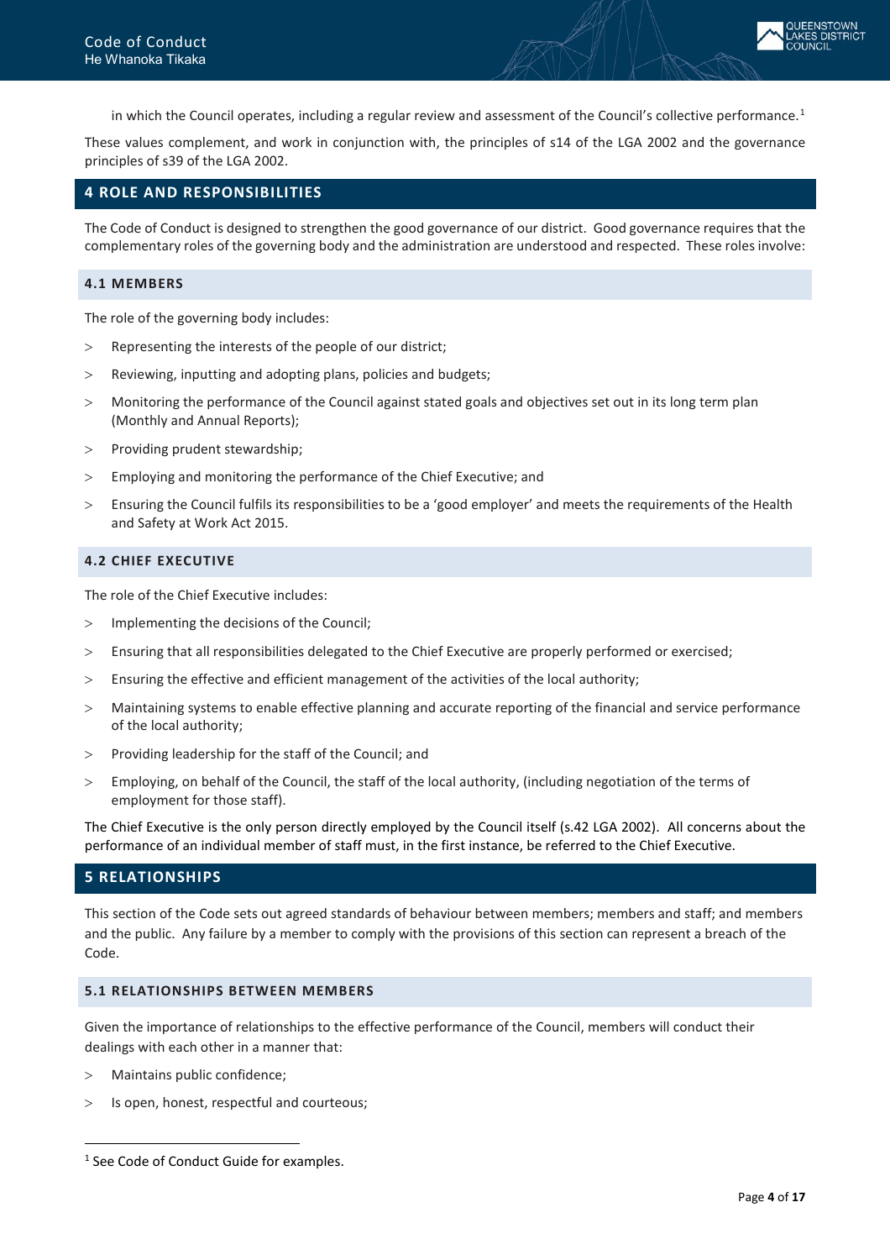in which the Council operates, including a regular review and assessment of the Council's collective performance.<sup>[1](#page-3-5)</sup>

These values complement, and work in conjunction with, the principles of s14 of the LGA 2002 and the governance principles of s39 of the LGA 2002.

## <span id="page-3-0"></span>**4 ROLE AND RESPONSIBILITIES**

The Code of Conduct is designed to strengthen the good governance of our district. Good governance requires that the complementary roles of the governing body and the administration are understood and respected. These roles involve:

#### <span id="page-3-1"></span>**4.1 MEMBERS**

The role of the governing body includes:

- > Representing the interests of the people of our district;
- > Reviewing, inputting and adopting plans, policies and budgets;
- > Monitoring the performance of the Council against stated goals and objectives set out in its long term plan (Monthly and Annual Reports);
- > Providing prudent stewardship;
- > Employing and monitoring the performance of the Chief Executive; and
- > Ensuring the Council fulfils its responsibilities to be a 'good employer' and meets the requirements of the Health and Safety at Work Act 2015.

#### <span id="page-3-2"></span>**4.2 CHIEF EXECUTIVE**

The role of the Chief Executive includes:

- > Implementing the decisions of the Council;
- > Ensuring that all responsibilities delegated to the Chief Executive are properly performed or exercised;
- > Ensuring the effective and efficient management of the activities of the local authority;
- > Maintaining systems to enable effective planning and accurate reporting of the financial and service performance of the local authority;
- > Providing leadership for the staff of the Council; and
- > Employing, on behalf of the Council, the staff of the local authority, (including negotiation of the terms of employment for those staff).

The Chief Executive is the only person directly employed by the Council itself (s.42 LGA 2002). All concerns about the performance of an individual member of staff must, in the first instance, be referred to the Chief Executive.

# <span id="page-3-3"></span>**5 RELATIONSHIPS**

This section of the Code sets out agreed standards of behaviour between members; members and staff; and members and the public. Any failure by a member to comply with the provisions of this section can represent a breach of the Code.

#### <span id="page-3-4"></span>**5.1 RELATIONSHIPS BETWEEN MEMBERS**

Given the importance of relationships to the effective performance of the Council, members will conduct their dealings with each other in a manner that:

> Maintains public confidence;

 $\overline{a}$ 

> Is open, honest, respectful and courteous;

<span id="page-3-5"></span><sup>&</sup>lt;sup>1</sup> See Code of Conduct Guide for examples.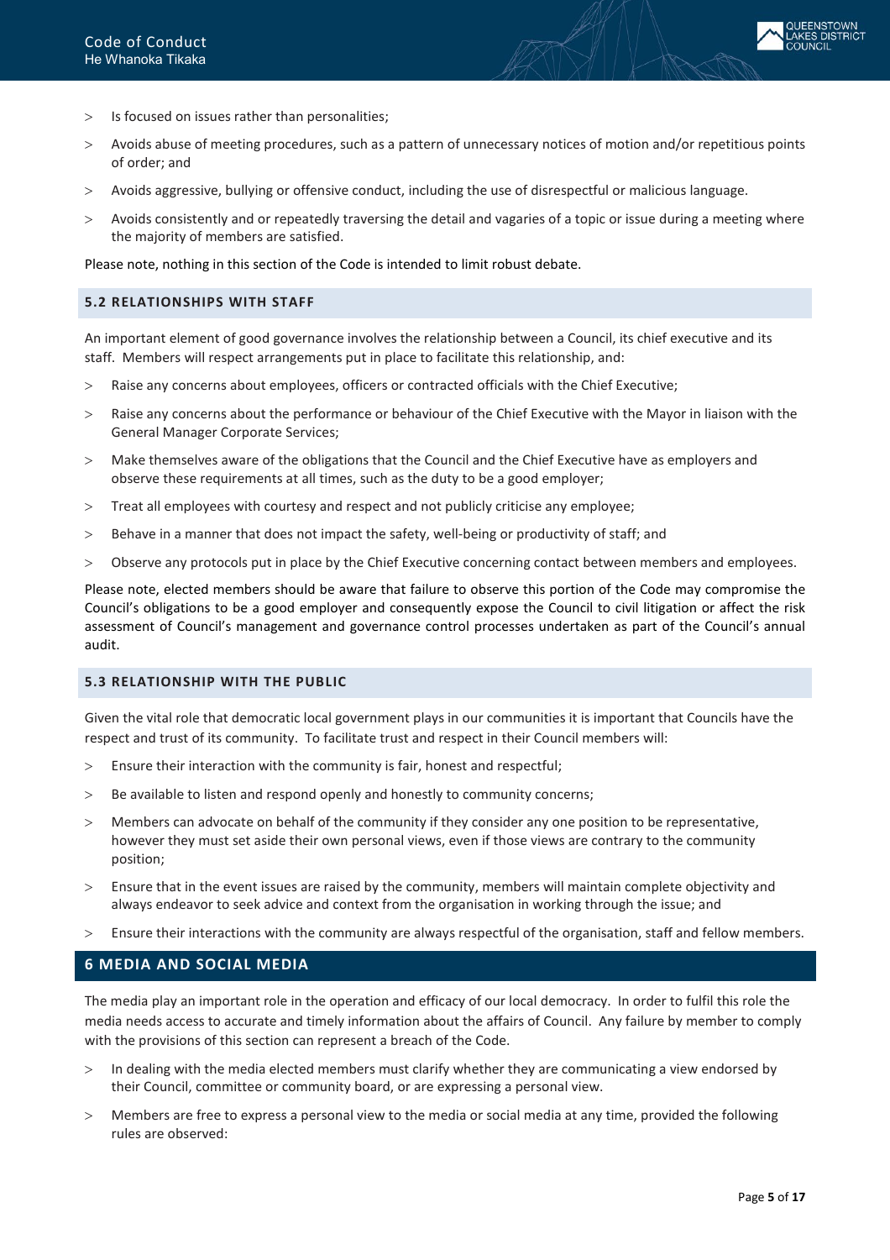

- > Is focused on issues rather than personalities;
- > Avoids abuse of meeting procedures, such as a pattern of unnecessary notices of motion and/or repetitious points of order; and
- > Avoids aggressive, bullying or offensive conduct, including the use of disrespectful or malicious language.
- > Avoids consistently and or repeatedly traversing the detail and vagaries of a topic or issue during a meeting where the majority of members are satisfied.

Please note, nothing in this section of the Code is intended to limit robust debate.

#### <span id="page-4-0"></span>**5.2 RELATIONSHIPS WITH STAFF**

An important element of good governance involves the relationship between a Council, its chief executive and its staff. Members will respect arrangements put in place to facilitate this relationship, and:

- > Raise any concerns about employees, officers or contracted officials with the Chief Executive;
- > Raise any concerns about the performance or behaviour of the Chief Executive with the Mayor in liaison with the General Manager Corporate Services;
- > Make themselves aware of the obligations that the Council and the Chief Executive have as employers and observe these requirements at all times, such as the duty to be a good employer;
- > Treat all employees with courtesy and respect and not publicly criticise any employee;
- > Behave in a manner that does not impact the safety, well-being or productivity of staff; and
- > Observe any protocols put in place by the Chief Executive concerning contact between members and employees.

Please note, elected members should be aware that failure to observe this portion of the Code may compromise the Council's obligations to be a good employer and consequently expose the Council to civil litigation or affect the risk assessment of Council's management and governance control processes undertaken as part of the Council's annual audit.

## <span id="page-4-1"></span>**5.3 RELATIONSHIP WITH THE PUBLIC**

Given the vital role that democratic local government plays in our communities it is important that Councils have the respect and trust of its community. To facilitate trust and respect in their Council members will:

- > Ensure their interaction with the community is fair, honest and respectful;
- > Be available to listen and respond openly and honestly to community concerns;
- > Members can advocate on behalf of the community if they consider any one position to be representative, however they must set aside their own personal views, even if those views are contrary to the community position;
- > Ensure that in the event issues are raised by the community, members will maintain complete objectivity and always endeavor to seek advice and context from the organisation in working through the issue; and
- > Ensure their interactions with the community are always respectful of the organisation, staff and fellow members.

## <span id="page-4-2"></span>**6 MEDIA AND SOCIAL MEDIA**

The media play an important role in the operation and efficacy of our local democracy. In order to fulfil this role the media needs access to accurate and timely information about the affairs of Council. Any failure by member to comply with the provisions of this section can represent a breach of the Code.

- > In dealing with the media elected members must clarify whether they are communicating a view endorsed by their Council, committee or community board, or are expressing a personal view.
- > Members are free to express a personal view to the media or social media at any time, provided the following rules are observed: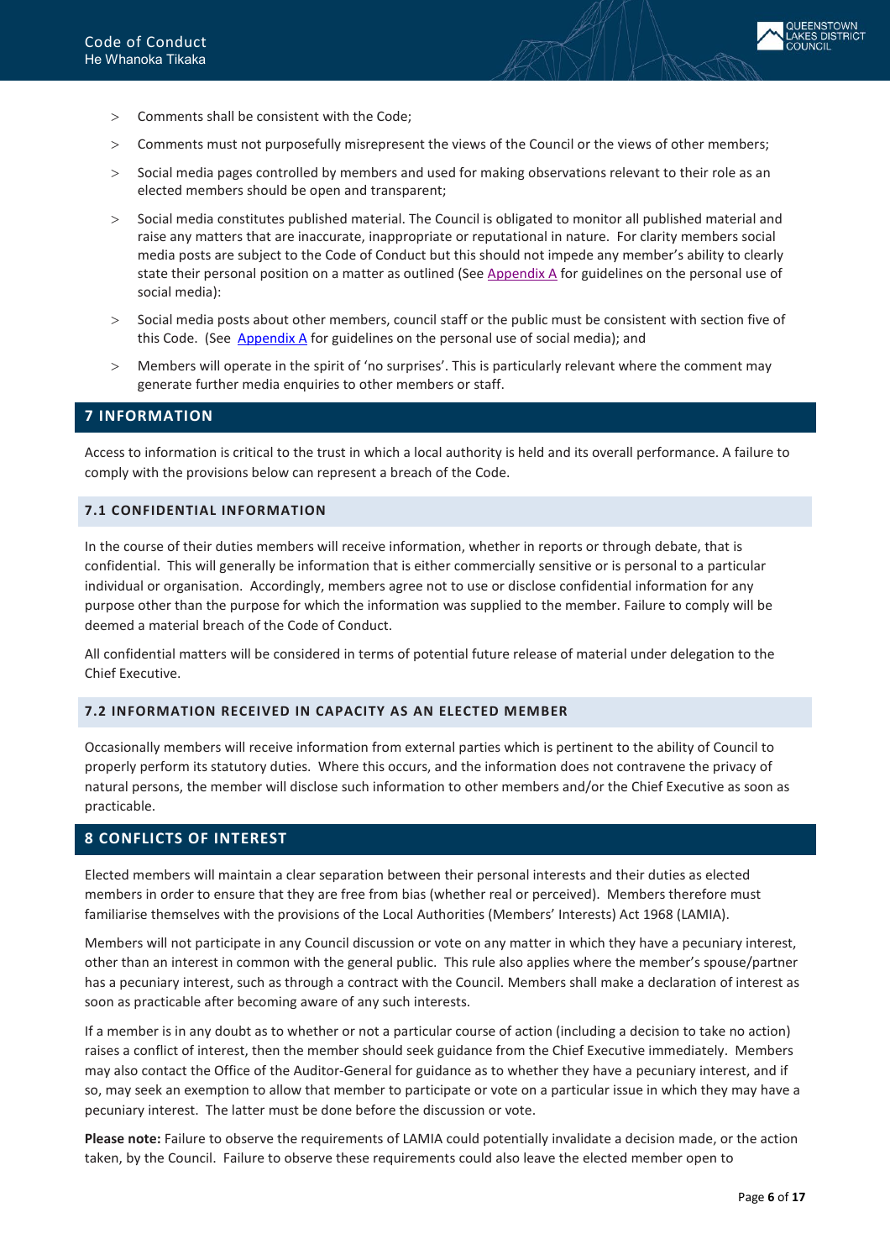

- > Comments shall be consistent with the Code;
- > Comments must not purposefully misrepresent the views of the Council or the views of other members;
- > Social media pages controlled by members and used for making observations relevant to their role as an elected members should be open and transparent;
- > Social media constitutes published material. The Council is obligated to monitor all published material and raise any matters that are inaccurate, inappropriate or reputational in nature. For clarity members social media posts are subject to the Code of Conduct but this should not impede any member's ability to clearly state their personal position on a matter as outlined (See [Appendix A](#page-12-0) for guidelines on the personal use of social media):
- > Social media posts about other members, council staff or the public must be consistent with section five of this Code. (See [Appendix A](#page-12-0) for guidelines on the personal use of social media); and
- > Members will operate in the spirit of 'no surprises'. This is particularly relevant where the comment may generate further media enquiries to other members or staff.

## <span id="page-5-0"></span>**7 INFORMATION**

Access to information is critical to the trust in which a local authority is held and its overall performance. A failure to comply with the provisions below can represent a breach of the Code.

## <span id="page-5-1"></span>**7.1 CONFIDENTIAL INFORMATION**

In the course of their duties members will receive information, whether in reports or through debate, that is confidential. This will generally be information that is either commercially sensitive or is personal to a particular individual or organisation. Accordingly, members agree not to use or disclose confidential information for any purpose other than the purpose for which the information was supplied to the member. Failure to comply will be deemed a material breach of the Code of Conduct.

All confidential matters will be considered in terms of potential future release of material under delegation to the Chief Executive.

#### <span id="page-5-2"></span>**7.2 INFORMATION RECEIVED IN CAPACITY AS AN ELECTED MEMBER**

Occasionally members will receive information from external parties which is pertinent to the ability of Council to properly perform its statutory duties. Where this occurs, and the information does not contravene the privacy of natural persons, the member will disclose such information to other members and/or the Chief Executive as soon as practicable.

#### <span id="page-5-3"></span>**8 CONFLICTS OF INTEREST**

Elected members will maintain a clear separation between their personal interests and their duties as elected members in order to ensure that they are free from bias (whether real or perceived). Members therefore must familiarise themselves with the provisions of the Local Authorities (Members' Interests) Act 1968 (LAMIA).

Members will not participate in any Council discussion or vote on any matter in which they have a pecuniary interest, other than an interest in common with the general public. This rule also applies where the member's spouse/partner has a pecuniary interest, such as through a contract with the Council. Members shall make a declaration of interest as soon as practicable after becoming aware of any such interests.

If a member is in any doubt as to whether or not a particular course of action (including a decision to take no action) raises a conflict of interest, then the member should seek guidance from the Chief Executive immediately. Members may also contact the Office of the Auditor-General for guidance as to whether they have a pecuniary interest, and if so, may seek an exemption to allow that member to participate or vote on a particular issue in which they may have a pecuniary interest. The latter must be done before the discussion or vote.

**Please note:** Failure to observe the requirements of LAMIA could potentially invalidate a decision made, or the action taken, by the Council. Failure to observe these requirements could also leave the elected member open to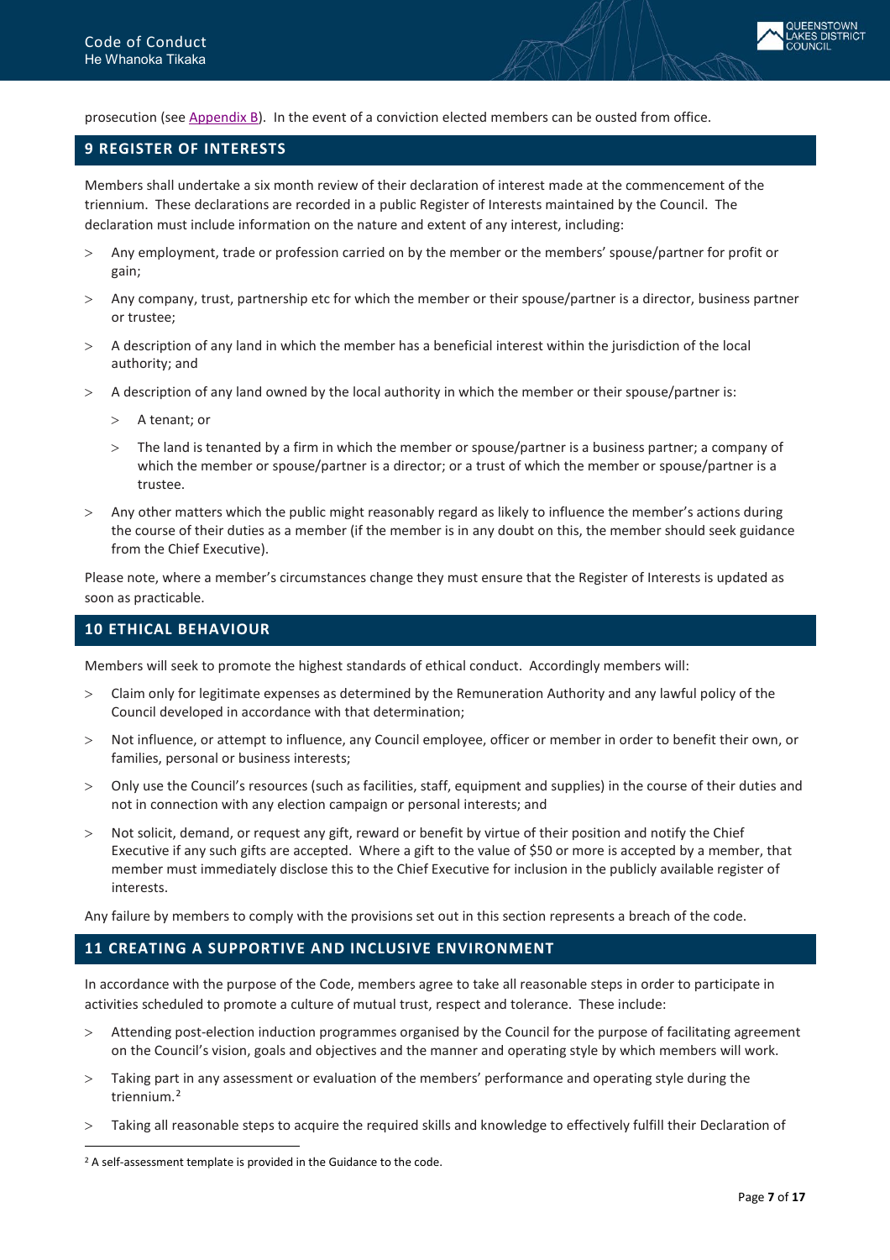

prosecution (se[e Appendix B\)](#page-13-0). In the event of a conviction elected members can be ousted from office.

## <span id="page-6-0"></span>**9 REGISTER OF INTERESTS**

Members shall undertake a six month review of their declaration of interest made at the commencement of the triennium. These declarations are recorded in a public Register of Interests maintained by the Council. The declaration must include information on the nature and extent of any interest, including:

- > Any employment, trade or profession carried on by the member or the members' spouse/partner for profit or gain;
- > Any company, trust, partnership etc for which the member or their spouse/partner is a director, business partner or trustee;
- > A description of any land in which the member has a beneficial interest within the jurisdiction of the local authority; and
- > A description of any land owned by the local authority in which the member or their spouse/partner is:
	- > A tenant; or
	- > The land is tenanted by a firm in which the member or spouse/partner is a business partner; a company of which the member or spouse/partner is a director; or a trust of which the member or spouse/partner is a trustee.
- > Any other matters which the public might reasonably regard as likely to influence the member's actions during the course of their duties as a member (if the member is in any doubt on this, the member should seek guidance from the Chief Executive).

Please note, where a member's circumstances change they must ensure that the Register of Interests is updated as soon as practicable.

## <span id="page-6-1"></span>**10 ETHICAL BEHAVIOUR**

Members will seek to promote the highest standards of ethical conduct. Accordingly members will:

- > Claim only for legitimate expenses as determined by the Remuneration Authority and any lawful policy of the Council developed in accordance with that determination;
- > Not influence, or attempt to influence, any Council employee, officer or member in order to benefit their own, or families, personal or business interests;
- > Only use the Council's resources (such as facilities, staff, equipment and supplies) in the course of their duties and not in connection with any election campaign or personal interests; and
- > Not solicit, demand, or request any gift, reward or benefit by virtue of their position and notify the Chief Executive if any such gifts are accepted. Where a gift to the value of \$50 or more is accepted by a member, that member must immediately disclose this to the Chief Executive for inclusion in the publicly available register of interests.

Any failure by members to comply with the provisions set out in this section represents a breach of the code.

## <span id="page-6-2"></span>**11 CREATING A SUPPORTIVE AND INCLUSIVE ENVIRONMENT**

In accordance with the purpose of the Code, members agree to take all reasonable steps in order to participate in activities scheduled to promote a culture of mutual trust, respect and tolerance. These include:

- > Attending post-election induction programmes organised by the Council for the purpose of facilitating agreement on the Council's vision, goals and objectives and the manner and operating style by which members will work.
- > Taking part in any assessment or evaluation of the members' performance and operating style during the triennium.[2](#page-6-3)
- > Taking all reasonable steps to acquire the required skills and knowledge to effectively fulfill their Declaration of

 $\overline{a}$ 

<span id="page-6-3"></span><sup>&</sup>lt;sup>2</sup> A self-assessment template is provided in the Guidance to the code.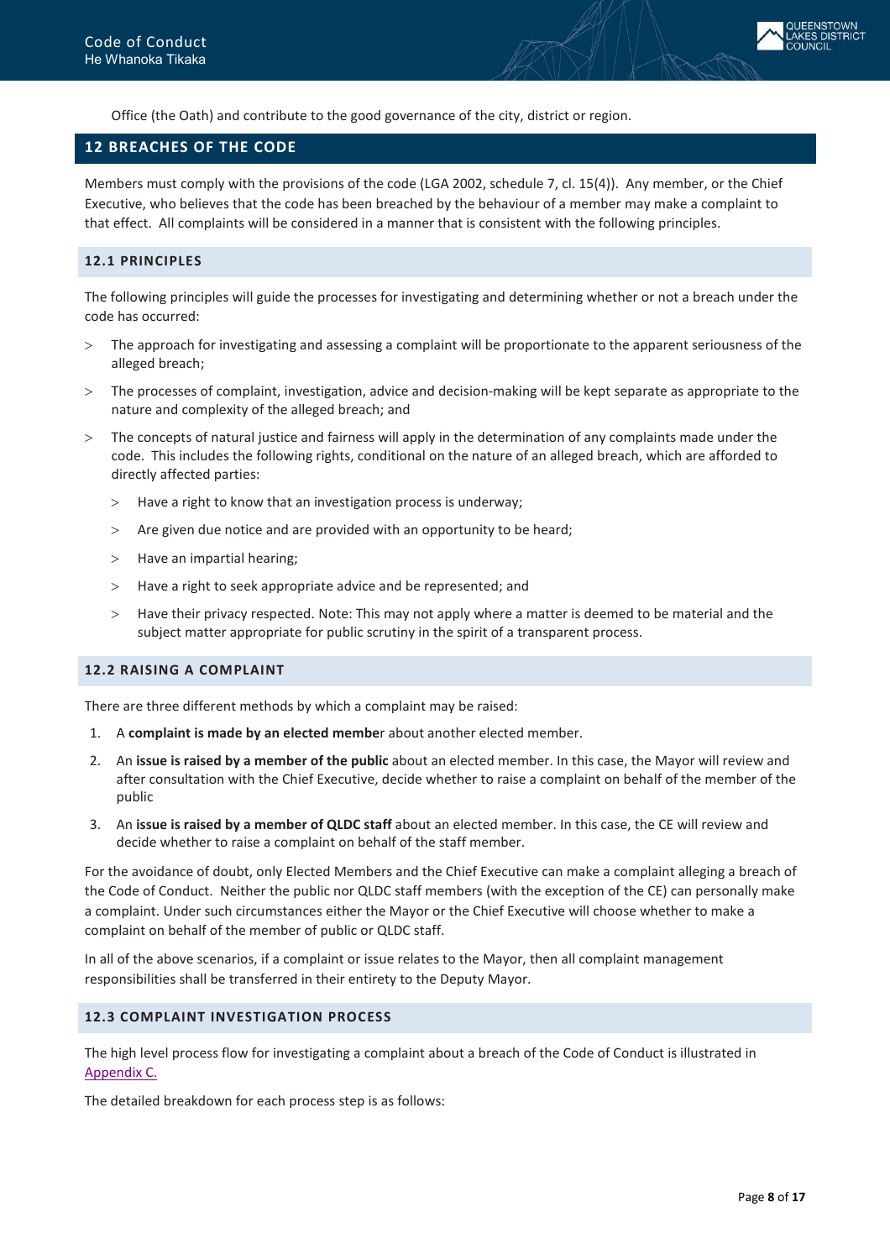

Office (the Oath) and contribute to the good governance of the city, district or region.

## <span id="page-7-0"></span>**12 BREACHES OF THE CODE**

Members must comply with the provisions of the code (LGA 2002, schedule 7, cl. 15(4)). Any member, or the Chief Executive, who believes that the code has been breached by the behaviour of a member may make a complaint to that effect. All complaints will be considered in a manner that is consistent with the following principles.

#### <span id="page-7-1"></span>**12.1 PRINCIPLES**

The following principles will guide the processes for investigating and determining whether or not a breach under the code has occurred:

- > The approach for investigating and assessing a complaint will be proportionate to the apparent seriousness of the alleged breach;
- > The processes of complaint, investigation, advice and decision-making will be kept separate as appropriate to the nature and complexity of the alleged breach; and
- > The concepts of natural justice and fairness will apply in the determination of any complaints made under the code. This includes the following rights, conditional on the nature of an alleged breach, which are afforded to directly affected parties:
	- > Have a right to know that an investigation process is underway;
	- > Are given due notice and are provided with an opportunity to be heard;
	- > Have an impartial hearing;
	- > Have a right to seek appropriate advice and be represented; and
	- > Have their privacy respected. Note: This may not apply where a matter is deemed to be material and the subject matter appropriate for public scrutiny in the spirit of a transparent process.

#### <span id="page-7-2"></span>**12.2 RAISING A COMPLAINT**

There are three different methods by which a complaint may be raised:

- 1. A **complaint is made by an elected membe**r about another elected member.
- 2. An **issue is raised by a member of the public** about an elected member. In this case, the Mayor will review and after consultation with the Chief Executive, decide whether to raise a complaint on behalf of the member of the public
- 3. An **issue is raised by a member of QLDC staff** about an elected member. In this case, the CE will review and decide whether to raise a complaint on behalf of the staff member.

For the avoidance of doubt, only Elected Members and the Chief Executive can make a complaint alleging a breach of the Code of Conduct. Neither the public nor QLDC staff members (with the exception of the CE) can personally make a complaint. Under such circumstances either the Mayor or the Chief Executive will choose whether to make a complaint on behalf of the member of public or QLDC staff.

In all of the above scenarios, if a complaint or issue relates to the Mayor, then all complaint management responsibilities shall be transferred in their entirety to the Deputy Mayor.

#### <span id="page-7-3"></span>**12.3 COMPLAINT INVESTIGATION PROCESS**

The high level process flow for investigating a complaint about a breach of the Code of Conduct is illustrated in [Appendix C.](#page-16-0)

The detailed breakdown for each process step is as follows: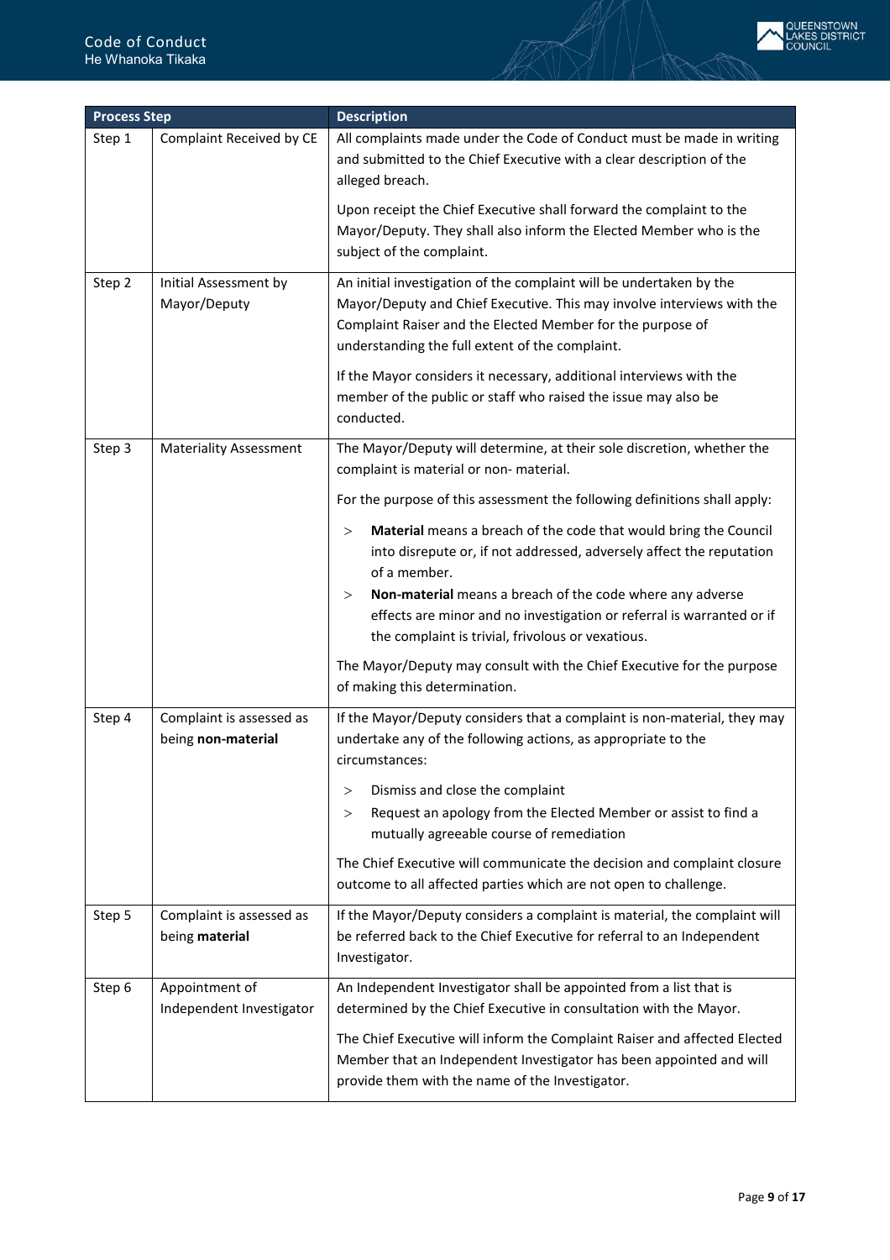

| <b>Process Step</b> |                                                | <b>Description</b>                                                                                                                                                                                                                                             |
|---------------------|------------------------------------------------|----------------------------------------------------------------------------------------------------------------------------------------------------------------------------------------------------------------------------------------------------------------|
| Step 1              | Complaint Received by CE                       | All complaints made under the Code of Conduct must be made in writing<br>and submitted to the Chief Executive with a clear description of the<br>alleged breach.                                                                                               |
|                     |                                                | Upon receipt the Chief Executive shall forward the complaint to the<br>Mayor/Deputy. They shall also inform the Elected Member who is the<br>subject of the complaint.                                                                                         |
| Step 2              | Initial Assessment by<br>Mayor/Deputy          | An initial investigation of the complaint will be undertaken by the<br>Mayor/Deputy and Chief Executive. This may involve interviews with the<br>Complaint Raiser and the Elected Member for the purpose of<br>understanding the full extent of the complaint. |
|                     |                                                | If the Mayor considers it necessary, additional interviews with the<br>member of the public or staff who raised the issue may also be<br>conducted.                                                                                                            |
| Step 3              | <b>Materiality Assessment</b>                  | The Mayor/Deputy will determine, at their sole discretion, whether the<br>complaint is material or non-material.                                                                                                                                               |
|                     |                                                | For the purpose of this assessment the following definitions shall apply:                                                                                                                                                                                      |
|                     |                                                | Material means a breach of the code that would bring the Council<br>><br>into disrepute or, if not addressed, adversely affect the reputation<br>of a member.                                                                                                  |
|                     |                                                | Non-material means a breach of the code where any adverse<br>$\rm{>}$<br>effects are minor and no investigation or referral is warranted or if<br>the complaint is trivial, frivolous or vexatious.                                                            |
|                     |                                                | The Mayor/Deputy may consult with the Chief Executive for the purpose<br>of making this determination.                                                                                                                                                         |
| Step 4              | Complaint is assessed as<br>being non-material | If the Mayor/Deputy considers that a complaint is non-material, they may<br>undertake any of the following actions, as appropriate to the<br>circumstances:                                                                                                    |
|                     |                                                | Dismiss and close the complaint<br>$\rm{>}$<br>Request an apology from the Elected Member or assist to find a<br>><br>mutually agreeable course of remediation                                                                                                 |
|                     |                                                | The Chief Executive will communicate the decision and complaint closure<br>outcome to all affected parties which are not open to challenge.                                                                                                                    |
| Step 5              | Complaint is assessed as<br>being material     | If the Mayor/Deputy considers a complaint is material, the complaint will<br>be referred back to the Chief Executive for referral to an Independent<br>Investigator.                                                                                           |
| Step 6              | Appointment of<br>Independent Investigator     | An Independent Investigator shall be appointed from a list that is<br>determined by the Chief Executive in consultation with the Mayor.                                                                                                                        |
|                     |                                                | The Chief Executive will inform the Complaint Raiser and affected Elected<br>Member that an Independent Investigator has been appointed and will<br>provide them with the name of the Investigator.                                                            |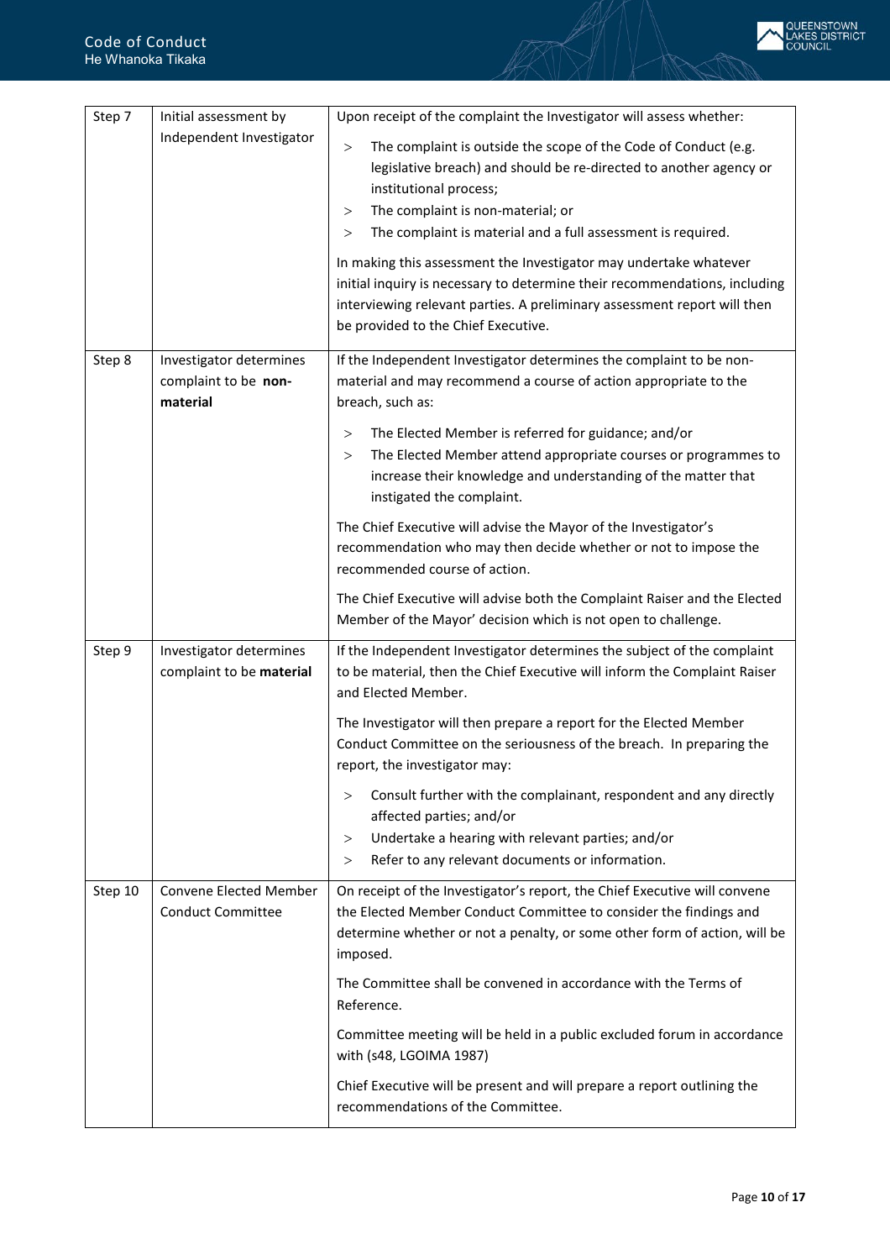

| Step 7  | Initial assessment by                                       | Upon receipt of the complaint the Investigator will assess whether:                                                                                                                                                                                                                                                                                                                                                                                                                                                                                                         |
|---------|-------------------------------------------------------------|-----------------------------------------------------------------------------------------------------------------------------------------------------------------------------------------------------------------------------------------------------------------------------------------------------------------------------------------------------------------------------------------------------------------------------------------------------------------------------------------------------------------------------------------------------------------------------|
|         | Independent Investigator                                    | The complaint is outside the scope of the Code of Conduct (e.g.<br>$\,>$<br>legislative breach) and should be re-directed to another agency or<br>institutional process;<br>The complaint is non-material; or<br>$\rm{>}$<br>The complaint is material and a full assessment is required.<br>$\rm{>}$<br>In making this assessment the Investigator may undertake whatever<br>initial inquiry is necessary to determine their recommendations, including<br>interviewing relevant parties. A preliminary assessment report will then<br>be provided to the Chief Executive. |
| Step 8  | Investigator determines<br>complaint to be non-<br>material | If the Independent Investigator determines the complaint to be non-<br>material and may recommend a course of action appropriate to the<br>breach, such as:                                                                                                                                                                                                                                                                                                                                                                                                                 |
|         |                                                             | The Elected Member is referred for guidance; and/or<br>$\rm{>}$<br>The Elected Member attend appropriate courses or programmes to<br>$\rm{>}$<br>increase their knowledge and understanding of the matter that<br>instigated the complaint.                                                                                                                                                                                                                                                                                                                                 |
|         |                                                             | The Chief Executive will advise the Mayor of the Investigator's<br>recommendation who may then decide whether or not to impose the<br>recommended course of action.                                                                                                                                                                                                                                                                                                                                                                                                         |
|         |                                                             | The Chief Executive will advise both the Complaint Raiser and the Elected<br>Member of the Mayor' decision which is not open to challenge.                                                                                                                                                                                                                                                                                                                                                                                                                                  |
| Step 9  | Investigator determines<br>complaint to be material         | If the Independent Investigator determines the subject of the complaint<br>to be material, then the Chief Executive will inform the Complaint Raiser<br>and Elected Member.                                                                                                                                                                                                                                                                                                                                                                                                 |
|         |                                                             | The Investigator will then prepare a report for the Elected Member<br>Conduct Committee on the seriousness of the breach. In preparing the<br>report, the investigator may:                                                                                                                                                                                                                                                                                                                                                                                                 |
|         |                                                             | Consult further with the complainant, respondent and any directly<br>$\rm{>}$<br>affected parties; and/or<br>Undertake a hearing with relevant parties; and/or<br>$\rm{>}$<br>Refer to any relevant documents or information.<br>$\rm{>}$                                                                                                                                                                                                                                                                                                                                   |
| Step 10 | <b>Convene Elected Member</b><br><b>Conduct Committee</b>   | On receipt of the Investigator's report, the Chief Executive will convene<br>the Elected Member Conduct Committee to consider the findings and<br>determine whether or not a penalty, or some other form of action, will be<br>imposed.                                                                                                                                                                                                                                                                                                                                     |
|         |                                                             | The Committee shall be convened in accordance with the Terms of<br>Reference.                                                                                                                                                                                                                                                                                                                                                                                                                                                                                               |
|         |                                                             | Committee meeting will be held in a public excluded forum in accordance<br>with (s48, LGOIMA 1987)                                                                                                                                                                                                                                                                                                                                                                                                                                                                          |
|         |                                                             | Chief Executive will be present and will prepare a report outlining the<br>recommendations of the Committee.                                                                                                                                                                                                                                                                                                                                                                                                                                                                |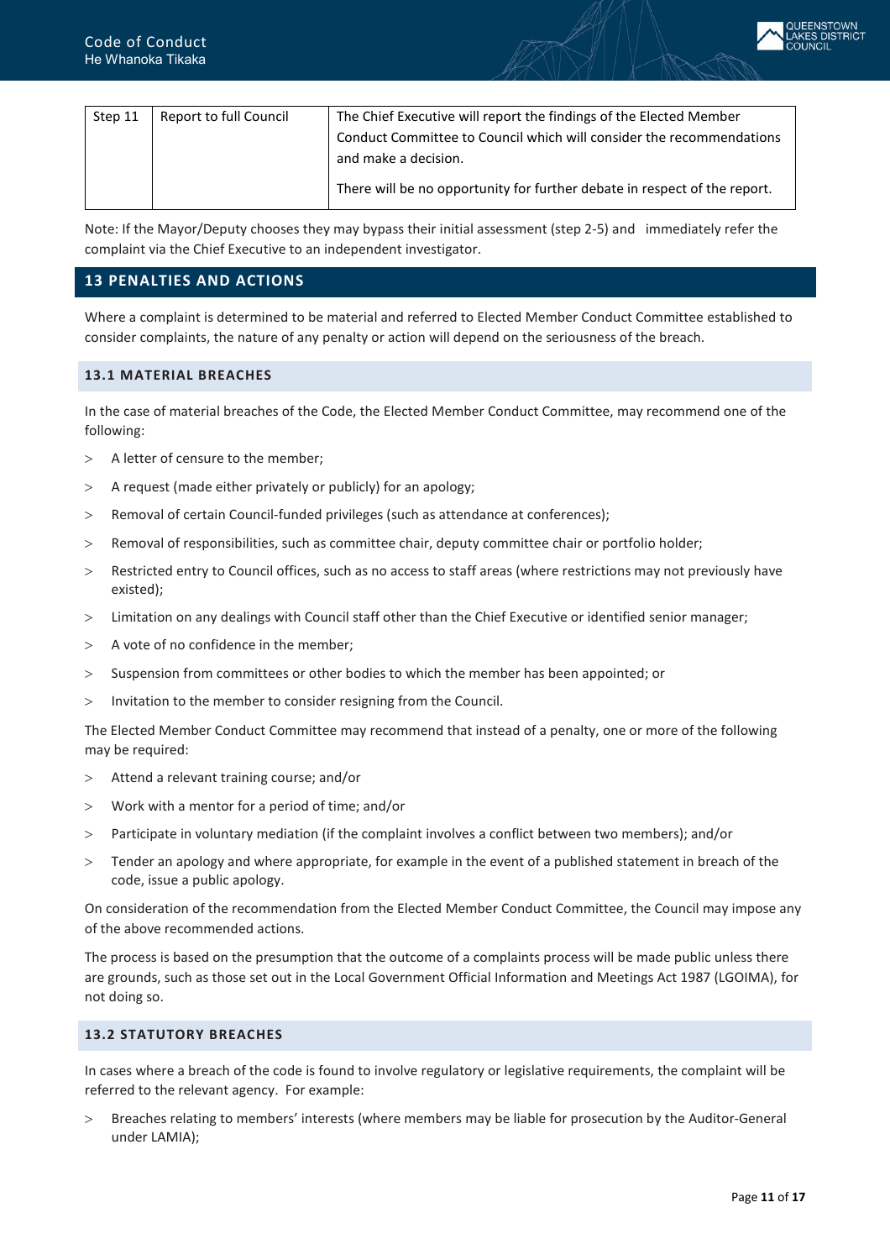

| Step 11 | Report to full Council | The Chief Executive will report the findings of the Elected Member        |
|---------|------------------------|---------------------------------------------------------------------------|
|         |                        | Conduct Committee to Council which will consider the recommendations      |
|         |                        | and make a decision.                                                      |
|         |                        | There will be no opportunity for further debate in respect of the report. |

Note: If the Mayor/Deputy chooses they may bypass their initial assessment (step 2-5) and immediately refer the complaint via the Chief Executive to an independent investigator.

## <span id="page-10-0"></span>**13 PENALTIES AND ACTIONS**

Where a complaint is determined to be material and referred to Elected Member Conduct Committee established to consider complaints, the nature of any penalty or action will depend on the seriousness of the breach.

#### <span id="page-10-1"></span>**13.1 MATERIAL BREACHES**

In the case of material breaches of the Code, the Elected Member Conduct Committee, may recommend one of the following:

- > A letter of censure to the member;
- $>$  A request (made either privately or publicly) for an apology;
- > Removal of certain Council-funded privileges (such as attendance at conferences);
- > Removal of responsibilities, such as committee chair, deputy committee chair or portfolio holder;
- > Restricted entry to Council offices, such as no access to staff areas (where restrictions may not previously have existed);
- > Limitation on any dealings with Council staff other than the Chief Executive or identified senior manager;
- > A vote of no confidence in the member;
- > Suspension from committees or other bodies to which the member has been appointed; or
- > Invitation to the member to consider resigning from the Council.

The Elected Member Conduct Committee may recommend that instead of a penalty, one or more of the following may be required:

- > Attend a relevant training course; and/or
- > Work with a mentor for a period of time; and/or
- > Participate in voluntary mediation (if the complaint involves a conflict between two members); and/or
- > Tender an apology and where appropriate, for example in the event of a published statement in breach of the code, issue a public apology.

On consideration of the recommendation from the Elected Member Conduct Committee, the Council may impose any of the above recommended actions.

The process is based on the presumption that the outcome of a complaints process will be made public unless there are grounds, such as those set out in the Local Government Official Information and Meetings Act 1987 (LGOIMA), for not doing so.

#### <span id="page-10-2"></span>**13.2 STATUTORY BREACHES**

In cases where a breach of the code is found to involve regulatory or legislative requirements, the complaint will be referred to the relevant agency. For example:

> Breaches relating to members' interests (where members may be liable for prosecution by the Auditor-General under LAMIA);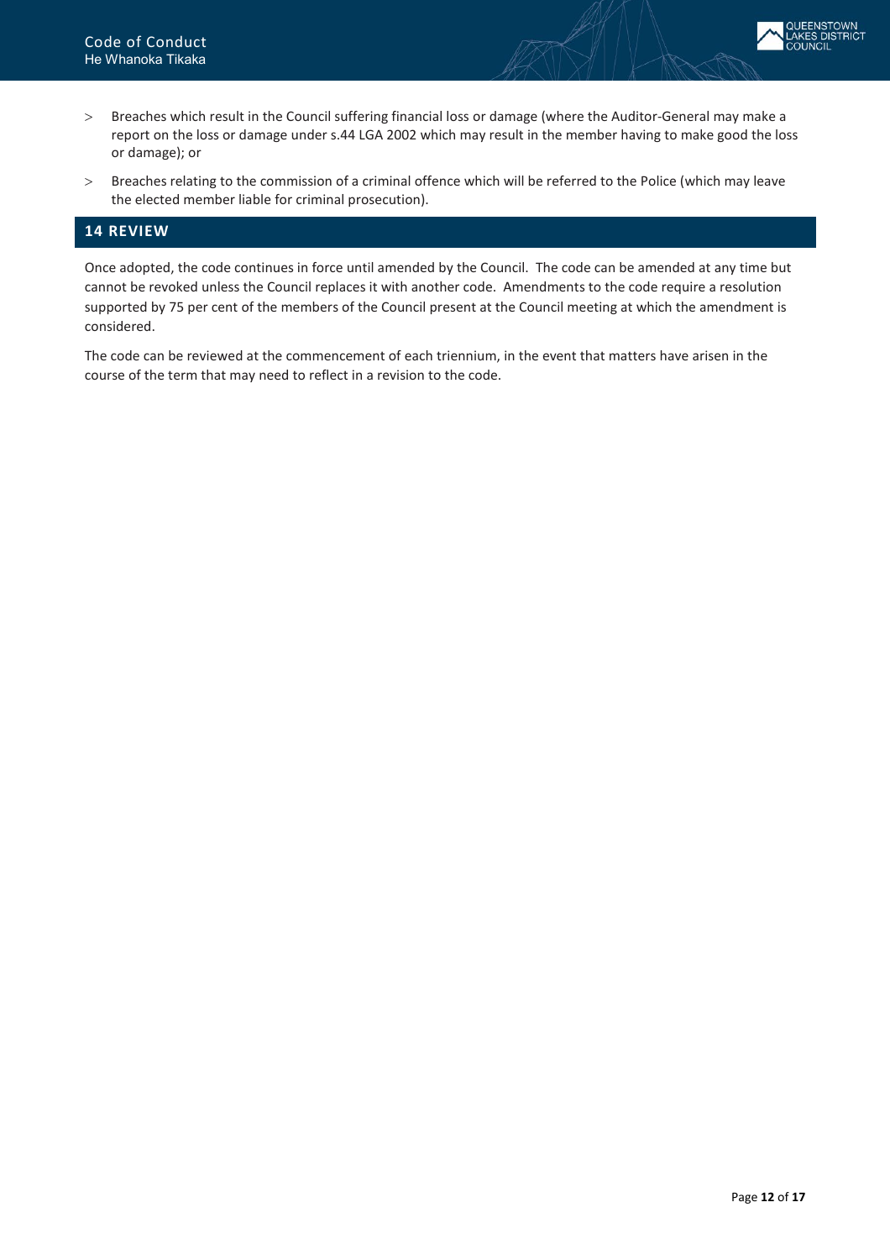

- > Breaches which result in the Council suffering financial loss or damage (where the Auditor-General may make a report on the loss or damage under s.44 LGA 2002 which may result in the member having to make good the loss or damage); or
- > Breaches relating to the commission of a criminal offence which will be referred to the Police (which may leave the elected member liable for criminal prosecution).

## <span id="page-11-0"></span>**14 REVIEW**

Once adopted, the code continues in force until amended by the Council. The code can be amended at any time but cannot be revoked unless the Council replaces it with another code. Amendments to the code require a resolution supported by 75 per cent of the members of the Council present at the Council meeting at which the amendment is considered.

The code can be reviewed at the commencement of each triennium, in the event that matters have arisen in the course of the term that may need to reflect in a revision to the code.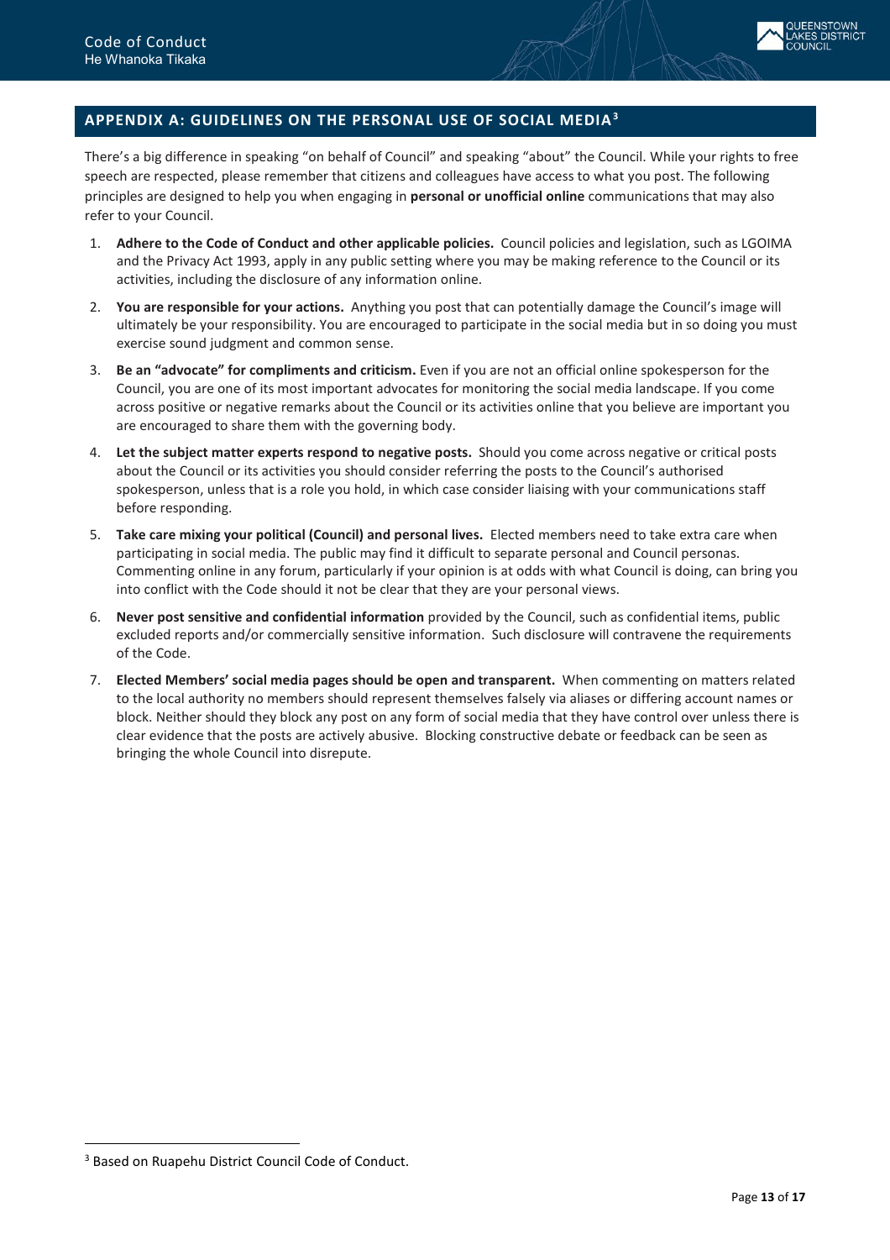

## <span id="page-12-0"></span>**APPENDIX A: GUIDELINES ON THE PERSONAL USE OF SOCIAL MEDIA[3](#page-12-1)**

There's a big difference in speaking "on behalf of Council" and speaking "about" the Council. While your rights to free speech are respected, please remember that citizens and colleagues have access to what you post. The following principles are designed to help you when engaging in **personal or unofficial online** communications that may also refer to your Council.

- 1. **Adhere to the Code of Conduct and other applicable policies.** Council policies and legislation, such as LGOIMA and the Privacy Act 1993, apply in any public setting where you may be making reference to the Council or its activities, including the disclosure of any information online.
- 2. **You are responsible for your actions.** Anything you post that can potentially damage the Council's image will ultimately be your responsibility. You are encouraged to participate in the social media but in so doing you must exercise sound judgment and common sense.
- 3. **Be an "advocate" for compliments and criticism.** Even if you are not an official online spokesperson for the Council, you are one of its most important advocates for monitoring the social media landscape. If you come across positive or negative remarks about the Council or its activities online that you believe are important you are encouraged to share them with the governing body.
- 4. **Let the subject matter experts respond to negative posts.** Should you come across negative or critical posts about the Council or its activities you should consider referring the posts to the Council's authorised spokesperson, unless that is a role you hold, in which case consider liaising with your communications staff before responding.
- 5. **Take care mixing your political (Council) and personal lives.** Elected members need to take extra care when participating in social media. The public may find it difficult to separate personal and Council personas. Commenting online in any forum, particularly if your opinion is at odds with what Council is doing, can bring you into conflict with the Code should it not be clear that they are your personal views.
- 6. **Never post sensitive and confidential information** provided by the Council, such as confidential items, public excluded reports and/or commercially sensitive information. Such disclosure will contravene the requirements of the Code.
- 7. **Elected Members' social media pages should be open and transparent.** When commenting on matters related to the local authority no members should represent themselves falsely via aliases or differing account names or block. Neither should they block any post on any form of social media that they have control over unless there is clear evidence that the posts are actively abusive. Blocking constructive debate or feedback can be seen as bringing the whole Council into disrepute.

 $\overline{a}$ 

<span id="page-12-1"></span><sup>&</sup>lt;sup>3</sup> Based on Ruapehu District Council Code of Conduct.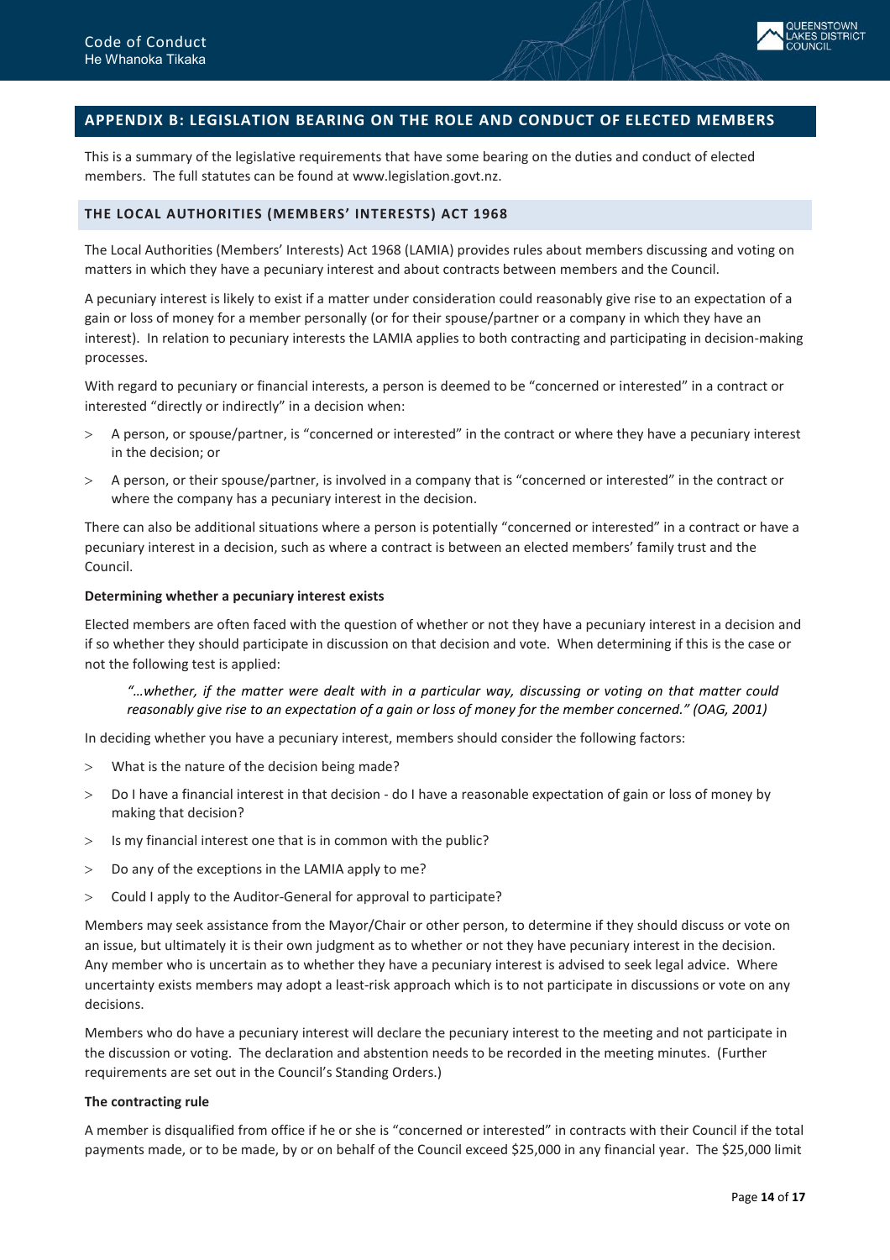

# <span id="page-13-0"></span>**APPENDIX B: LEGISLATION BEARING ON THE ROLE AND CONDUCT OF ELECTED MEMBERS**

This is a summary of the legislative requirements that have some bearing on the duties and conduct of elected members. The full statutes can be found at [www.legislation.govt.nz.](http://www.legislationonline.govt.nz/) 

# <span id="page-13-1"></span>**THE LOCAL AUTHORITIES (MEMBERS' INTERESTS) ACT 1968**

The Local Authorities (Members' Interests) Act 1968 (LAMIA) provides rules about members discussing and voting on matters in which they have a pecuniary interest and about contracts between members and the Council.

A pecuniary interest is likely to exist if a matter under consideration could reasonably give rise to an expectation of a gain or loss of money for a member personally (or for their spouse/partner or a company in which they have an interest). In relation to pecuniary interests the LAMIA applies to both contracting and participating in decision-making processes.

With regard to pecuniary or financial interests, a person is deemed to be "concerned or interested" in a contract or interested "directly or indirectly" in a decision when:

- > A person, or spouse/partner, is "concerned or interested" in the contract or where they have a pecuniary interest in the decision; or
- > A person, or their spouse/partner, is involved in a company that is "concerned or interested" in the contract or where the company has a pecuniary interest in the decision.

There can also be additional situations where a person is potentially "concerned or interested" in a contract or have a pecuniary interest in a decision, such as where a contract is between an elected members' family trust and the Council.

## **Determining whether a pecuniary interest exists**

Elected members are often faced with the question of whether or not they have a pecuniary interest in a decision and if so whether they should participate in discussion on that decision and vote. When determining if this is the case or not the following test is applied:

*"…whether, if the matter were dealt with in a particular way, discussing or voting on that matter could reasonably give rise to an expectation of a gain or loss of money for the member concerned." (OAG, 2001)*

In deciding whether you have a pecuniary interest, members should consider the following factors:

- > What is the nature of the decision being made?
- > Do I have a financial interest in that decision do I have a reasonable expectation of gain or loss of money by making that decision?
- > Is my financial interest one that is in common with the public?
- > Do any of the exceptions in the LAMIA apply to me?
- > Could I apply to the Auditor-General for approval to participate?

Members may seek assistance from the Mayor/Chair or other person, to determine if they should discuss or vote on an issue, but ultimately it is their own judgment as to whether or not they have pecuniary interest in the decision. Any member who is uncertain as to whether they have a pecuniary interest is advised to seek legal advice. Where uncertainty exists members may adopt a least-risk approach which is to not participate in discussions or vote on any decisions.

Members who do have a pecuniary interest will declare the pecuniary interest to the meeting and not participate in the discussion or voting. The declaration and abstention needs to be recorded in the meeting minutes. (Further requirements are set out in the Council's Standing Orders.)

## **The contracting rule**

A member is disqualified from office if he or she is "concerned or interested" in contracts with their Council if the total payments made, or to be made, by or on behalf of the Council exceed \$25,000 in any financial year. The \$25,000 limit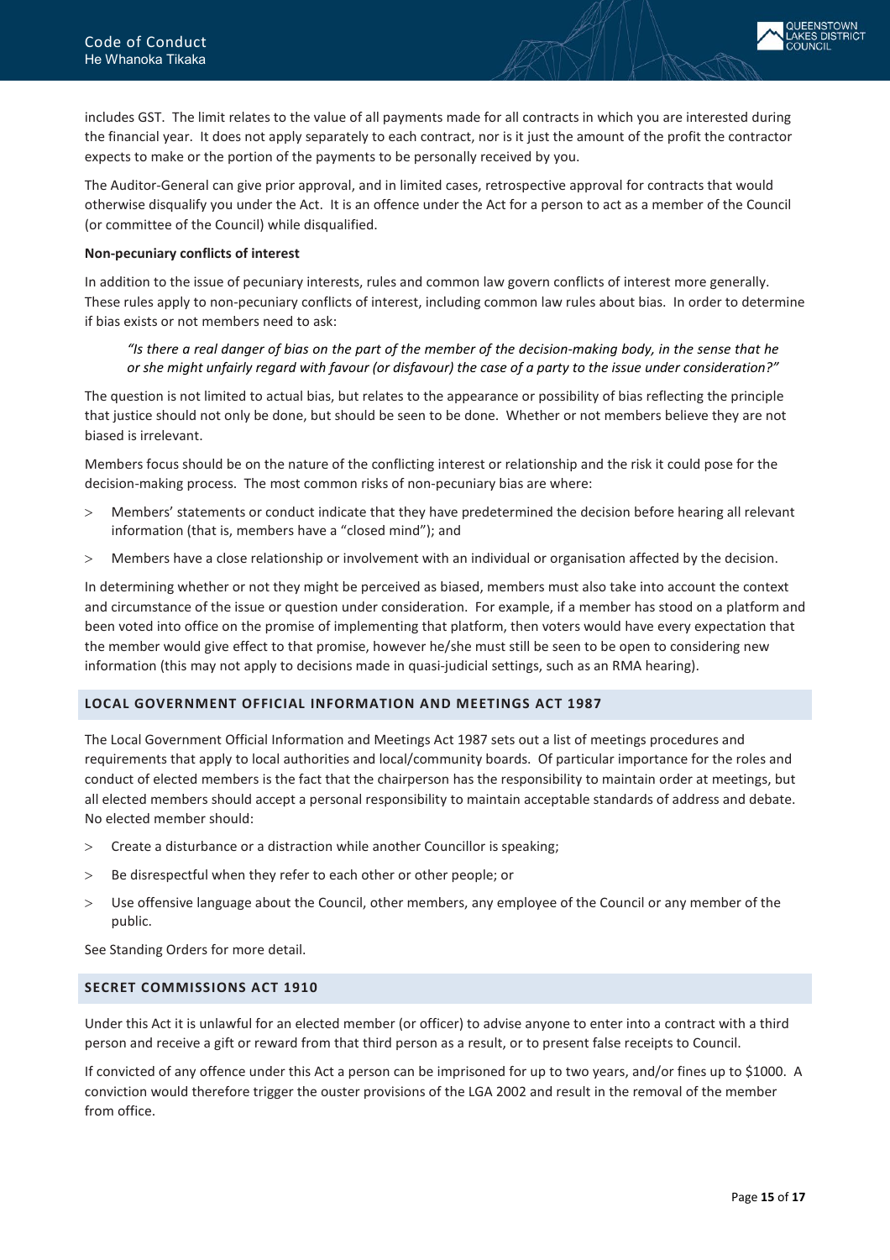

includes GST. The limit relates to the value of all payments made for all contracts in which you are interested during the financial year. It does not apply separately to each contract, nor is it just the amount of the profit the contractor expects to make or the portion of the payments to be personally received by you.

The Auditor-General can give prior approval, and in limited cases, retrospective approval for contracts that would otherwise disqualify you under the Act. It is an offence under the Act for a person to act as a member of the Council (or committee of the Council) while disqualified.

## **Non-pecuniary conflicts of interest**

In addition to the issue of pecuniary interests, rules and common law govern conflicts of interest more generally. These rules apply to non-pecuniary conflicts of interest, including common law rules about bias. In order to determine if bias exists or not members need to ask:

*"Is there a real danger of bias on the part of the member of the decision-making body, in the sense that he or she might unfairly regard with favour (or disfavour) the case of a party to the issue under consideration?"*

The question is not limited to actual bias, but relates to the appearance or possibility of bias reflecting the principle that justice should not only be done, but should be seen to be done. Whether or not members believe they are not biased is irrelevant.

Members focus should be on the nature of the conflicting interest or relationship and the risk it could pose for the decision-making process. The most common risks of non-pecuniary bias are where:

- > Members' statements or conduct indicate that they have predetermined the decision before hearing all relevant information (that is, members have a "closed mind"); and
- > Members have a close relationship or involvement with an individual or organisation affected by the decision.

In determining whether or not they might be perceived as biased, members must also take into account the context and circumstance of the issue or question under consideration. For example, if a member has stood on a platform and been voted into office on the promise of implementing that platform, then voters would have every expectation that the member would give effect to that promise, however he/she must still be seen to be open to considering new information (this may not apply to decisions made in quasi-judicial settings, such as an RMA hearing).

#### <span id="page-14-0"></span>**LOCAL GOVERNMENT OFFICIAL INFORMATION AND MEETINGS ACT 1987**

The Local Government Official Information and Meetings Act 1987 sets out a list of meetings procedures and requirements that apply to local authorities and local/community boards. Of particular importance for the roles and conduct of elected members is the fact that the chairperson has the responsibility to maintain order at meetings, but all elected members should accept a personal responsibility to maintain acceptable standards of address and debate. No elected member should:

- > Create a disturbance or a distraction while another Councillor is speaking;
- > Be disrespectful when they refer to each other or other people; or
- > Use offensive language about the Council, other members, any employee of the Council or any member of the public.

See Standing Orders for more detail.

## <span id="page-14-1"></span>**SECRET COMMISSIONS ACT 1910**

Under this Act it is unlawful for an elected member (or officer) to advise anyone to enter into a contract with a third person and receive a gift or reward from that third person as a result, or to present false receipts to Council.

If convicted of any offence under this Act a person can be imprisoned for up to two years, and/or fines up to \$1000. A conviction would therefore trigger the ouster provisions of the LGA 2002 and result in the removal of the member from office.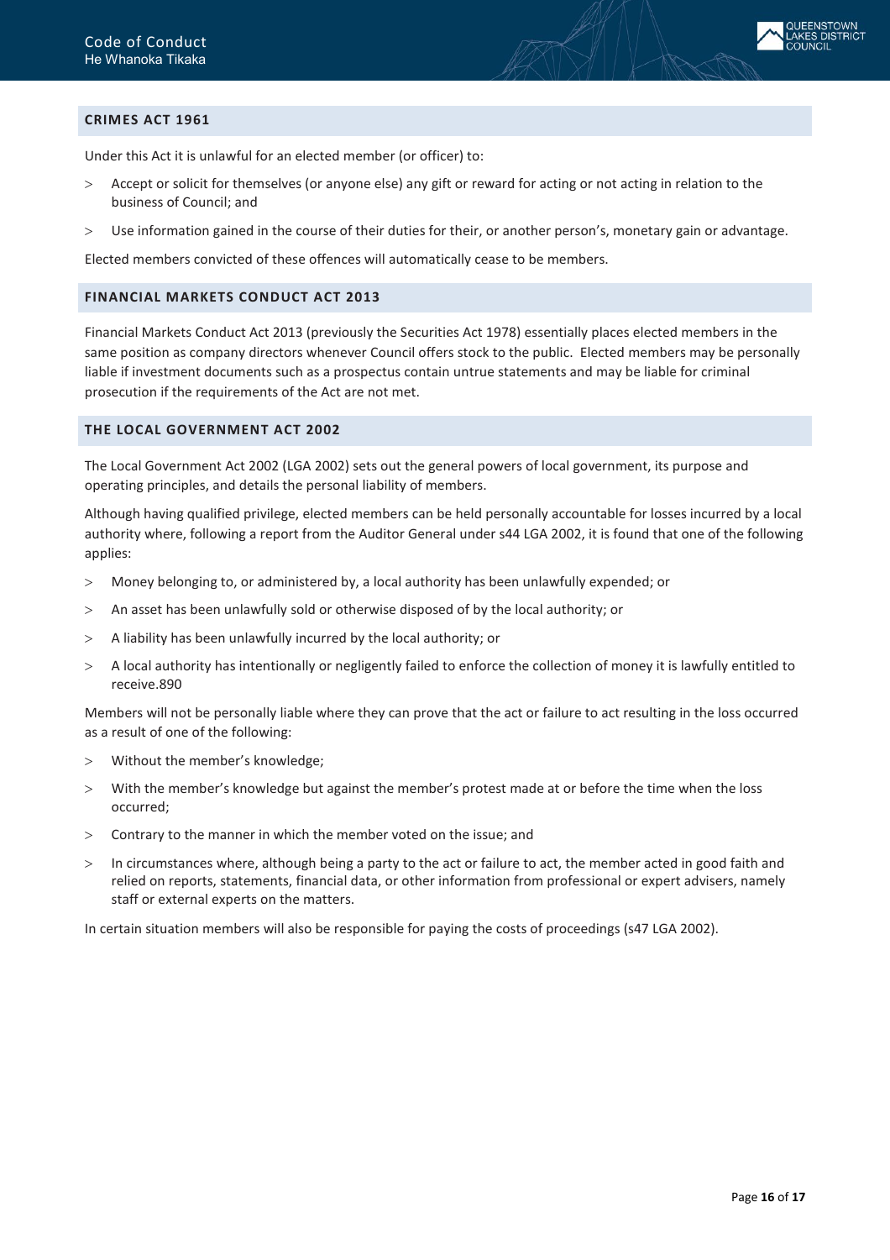

## <span id="page-15-0"></span>**CRIMES ACT 1961**

Under this Act it is unlawful for an elected member (or officer) to:

- > Accept or solicit for themselves (or anyone else) any gift or reward for acting or not acting in relation to the business of Council; and
- > Use information gained in the course of their duties for their, or another person's, monetary gain or advantage.

Elected members convicted of these offences will automatically cease to be members.

#### <span id="page-15-1"></span>**FINANCIAL MARKETS CONDUCT ACT 2013**

Financial Markets Conduct Act 2013 (previously the Securities Act 1978) essentially places elected members in the same position as company directors whenever Council offers stock to the public. Elected members may be personally liable if investment documents such as a prospectus contain untrue statements and may be liable for criminal prosecution if the requirements of the Act are not met.

#### <span id="page-15-2"></span>**THE LOCAL GOVERNMENT ACT 2002**

The Local Government Act 2002 (LGA 2002) sets out the general powers of local government, its purpose and operating principles, and details the personal liability of members.

Although having qualified privilege, elected members can be held personally accountable for losses incurred by a local authority where, following a report from the Auditor General under s44 LGA 2002, it is found that one of the following applies:

- > Money belonging to, or administered by, a local authority has been unlawfully expended; or
- > An asset has been unlawfully sold or otherwise disposed of by the local authority; or
- $>$  A liability has been unlawfully incurred by the local authority; or
- > A local authority has intentionally or negligently failed to enforce the collection of money it is lawfully entitled to receive.890

Members will not be personally liable where they can prove that the act or failure to act resulting in the loss occurred as a result of one of the following:

- > Without the member's knowledge;
- > With the member's knowledge but against the member's protest made at or before the time when the loss occurred;
- > Contrary to the manner in which the member voted on the issue; and
- In circumstances where, although being a party to the act or failure to act, the member acted in good faith and relied on reports, statements, financial data, or other information from professional or expert advisers, namely staff or external experts on the matters.

In certain situation members will also be responsible for paying the costs of proceedings (s47 LGA 2002).